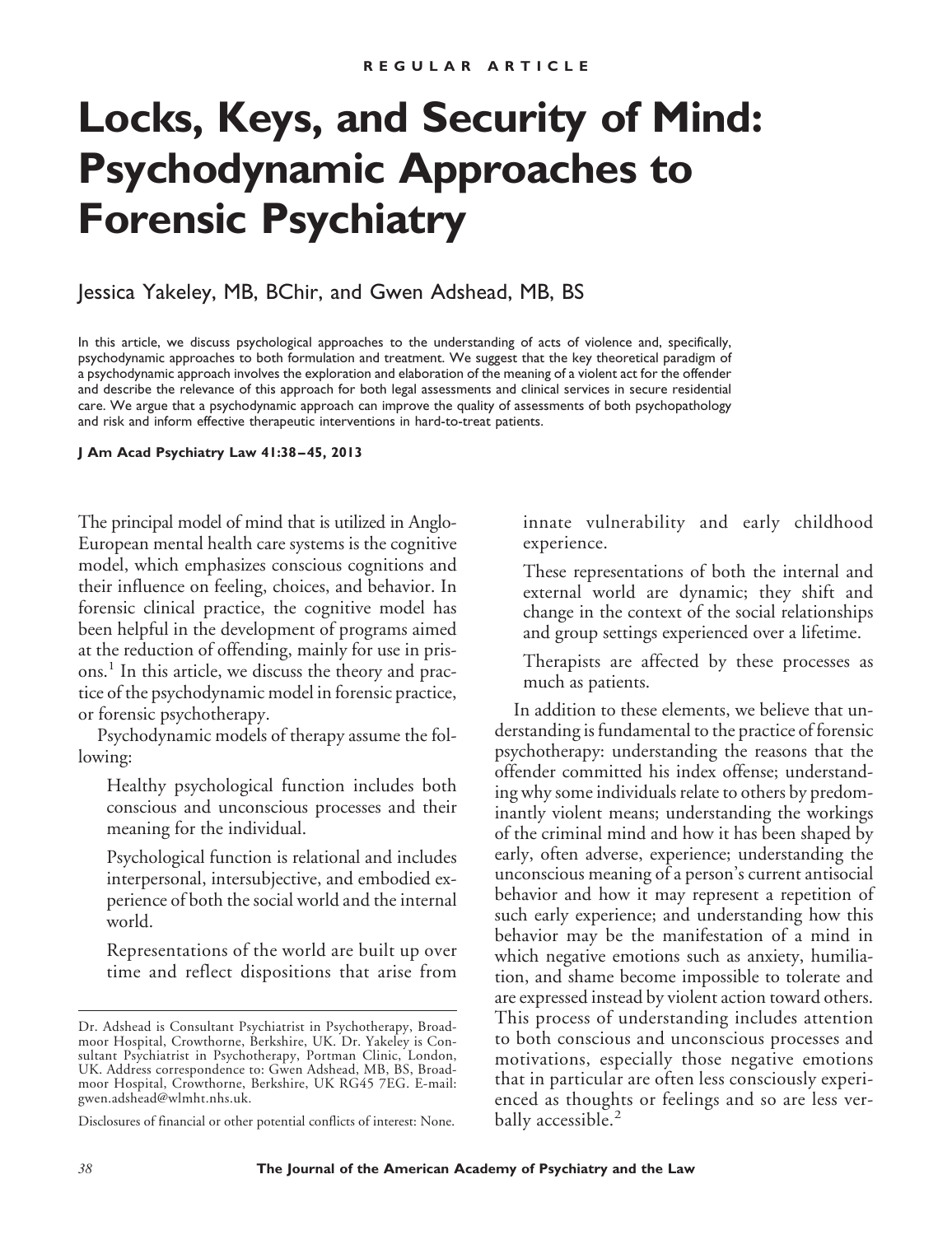# **Locks, Keys, and Security of Mind: Psychodynamic Approaches to Forensic Psychiatry**

## Jessica Yakeley, MB, BChir, and Gwen Adshead, MB, BS

In this article, we discuss psychological approaches to the understanding of acts of violence and, specifically, psychodynamic approaches to both formulation and treatment. We suggest that the key theoretical paradigm of a psychodynamic approach involves the exploration and elaboration of the meaning of a violent act for the offender and describe the relevance of this approach for both legal assessments and clinical services in secure residential care. We argue that a psychodynamic approach can improve the quality of assessments of both psychopathology and risk and inform effective therapeutic interventions in hard-to-treat patients.

**J Am Acad Psychiatry Law 41:38 – 45, 2013**

The principal model of mind that is utilized in Anglo-European mental health care systems is the cognitive model, which emphasizes conscious cognitions and their influence on feeling, choices, and behavior. In forensic clinical practice, the cognitive model has been helpful in the development of programs aimed at the reduction of offending, mainly for use in prisons.<sup>1</sup> In this article, we discuss the theory and practice of the psychodynamic model in forensic practice, or forensic psychotherapy.

Psychodynamic models of therapy assume the following:

Healthy psychological function includes both conscious and unconscious processes and their meaning for the individual.

Psychological function is relational and includes interpersonal, intersubjective, and embodied experience of both the social world and the internal world.

Representations of the world are built up over time and reflect dispositions that arise from

innate vulnerability and early childhood experience.

These representations of both the internal and external world are dynamic; they shift and change in the context of the social relationships and group settings experienced over a lifetime.

Therapists are affected by these processes as much as patients.

In addition to these elements, we believe that understanding is fundamental to the practice of forensic psychotherapy: understanding the reasons that the offender committed his index offense; understanding why some individuals relate to others by predominantly violent means; understanding the workings of the criminal mind and how it has been shaped by early, often adverse, experience; understanding the unconscious meaning of a person's current antisocial behavior and how it may represent a repetition of such early experience; and understanding how this behavior may be the manifestation of a mind in which negative emotions such as anxiety, humiliation, and shame become impossible to tolerate and are expressed instead by violent action toward others. This process of understanding includes attention to both conscious and unconscious processes and motivations, especially those negative emotions that in particular are often less consciously experienced as thoughts or feelings and so are less verbally accessible.<sup>2</sup>

Dr. Adshead is Consultant Psychiatrist in Psychotherapy, Broadmoor Hospital, Crowthorne, Berkshire, UK. Dr. Yakeley is Consultant Psychiatrist in Psychotherapy, Portman Clinic, London, UK. Address correspondence to: Gwen Adshead, MB, BS, Broadmoor Hospital, Crowthorne, Berkshire, UK RG45 7EG. E-mail: gwen.adshead@wlmht.nhs.uk.

Disclosures of financial or other potential conflicts of interest: None.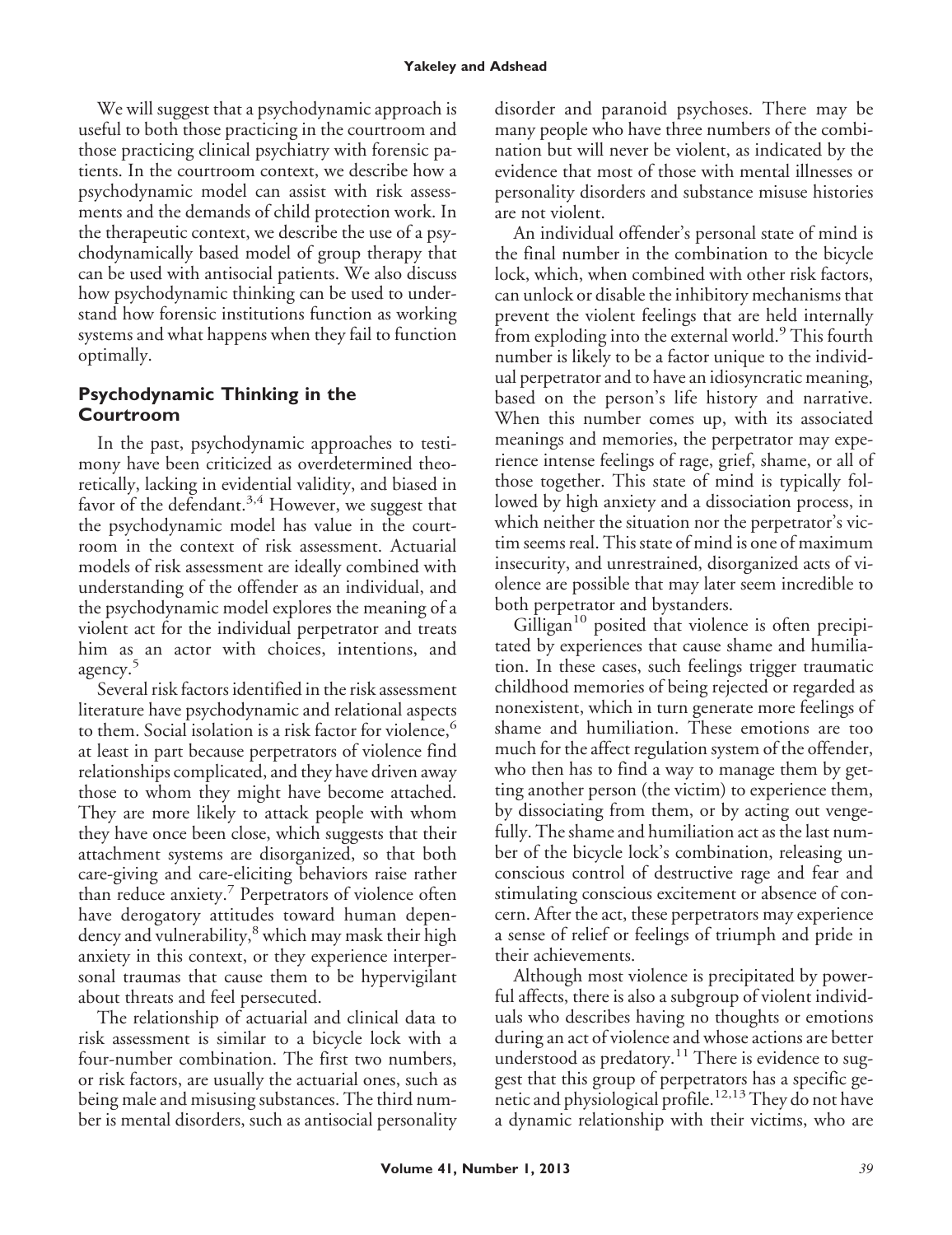We will suggest that a psychodynamic approach is useful to both those practicing in the courtroom and those practicing clinical psychiatry with forensic patients. In the courtroom context, we describe how a psychodynamic model can assist with risk assessments and the demands of child protection work. In the therapeutic context, we describe the use of a psychodynamically based model of group therapy that can be used with antisocial patients. We also discuss how psychodynamic thinking can be used to understand how forensic institutions function as working systems and what happens when they fail to function optimally.

## **Psychodynamic Thinking in the Courtroom**

In the past, psychodynamic approaches to testimony have been criticized as overdetermined theoretically, lacking in evidential validity, and biased in favor of the defendant.<sup>3,4</sup> However, we suggest that the psychodynamic model has value in the courtroom in the context of risk assessment. Actuarial models of risk assessment are ideally combined with understanding of the offender as an individual, and the psychodynamic model explores the meaning of a violent act for the individual perpetrator and treats him as an actor with choices, intentions, and agency.<sup>5</sup>

Several risk factors identified in the risk assessment literature have psychodynamic and relational aspects to them. Social isolation is a risk factor for violence,<sup>6</sup> at least in part because perpetrators of violence find relationships complicated, and they have driven away those to whom they might have become attached. They are more likely to attack people with whom they have once been close, which suggests that their attachment systems are disorganized, so that both care-giving and care-eliciting behaviors raise rather than reduce anxiety.<sup>7</sup> Perpetrators of violence often have derogatory attitudes toward human dependency and vulnerability,<sup>8</sup> which may mask their high anxiety in this context, or they experience interpersonal traumas that cause them to be hypervigilant about threats and feel persecuted.

The relationship of actuarial and clinical data to risk assessment is similar to a bicycle lock with a four-number combination. The first two numbers, or risk factors, are usually the actuarial ones, such as being male and misusing substances. The third number is mental disorders, such as antisocial personality disorder and paranoid psychoses. There may be many people who have three numbers of the combination but will never be violent, as indicated by the evidence that most of those with mental illnesses or personality disorders and substance misuse histories are not violent.

An individual offender's personal state of mind is the final number in the combination to the bicycle lock, which, when combined with other risk factors, can unlock or disable the inhibitory mechanisms that prevent the violent feelings that are held internally from exploding into the external world.<sup>9</sup> This fourth number is likely to be a factor unique to the individual perpetrator and to have an idiosyncratic meaning, based on the person's life history and narrative. When this number comes up, with its associated meanings and memories, the perpetrator may experience intense feelings of rage, grief, shame, or all of those together. This state of mind is typically followed by high anxiety and a dissociation process, in which neither the situation nor the perpetrator's victim seems real. This state of mind is one of maximum insecurity, and unrestrained, disorganized acts of violence are possible that may later seem incredible to both perpetrator and bystanders.

 $Gilligan<sup>10</sup>$  posited that violence is often precipitated by experiences that cause shame and humiliation. In these cases, such feelings trigger traumatic childhood memories of being rejected or regarded as nonexistent, which in turn generate more feelings of shame and humiliation. These emotions are too much for the affect regulation system of the offender, who then has to find a way to manage them by getting another person (the victim) to experience them, by dissociating from them, or by acting out vengefully. The shame and humiliation act as the last number of the bicycle lock's combination, releasing unconscious control of destructive rage and fear and stimulating conscious excitement or absence of concern. After the act, these perpetrators may experience a sense of relief or feelings of triumph and pride in their achievements.

Although most violence is precipitated by powerful affects, there is also a subgroup of violent individuals who describes having no thoughts or emotions during an act of violence and whose actions are better understood as predatory.<sup>11</sup> There is evidence to suggest that this group of perpetrators has a specific genetic and physiological profile.<sup>12,13</sup> They do not have a dynamic relationship with their victims, who are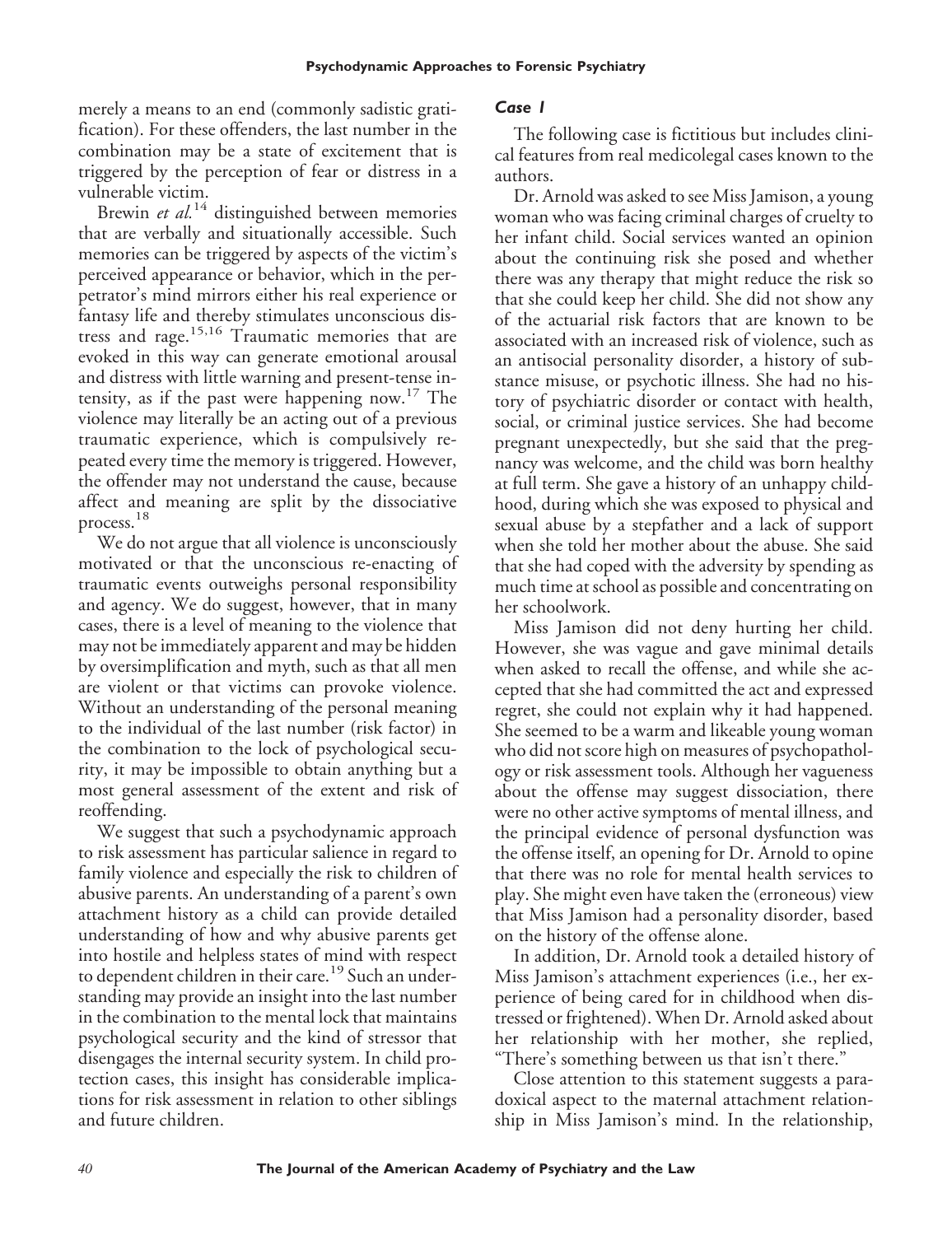merely a means to an end (commonly sadistic gratification). For these offenders, the last number in the combination may be a state of excitement that is triggered by the perception of fear or distress in a vulnerable victim.

Brewin *et al.*<sup>14</sup> distinguished between memories that are verbally and situationally accessible. Such memories can be triggered by aspects of the victim's perceived appearance or behavior, which in the perpetrator's mind mirrors either his real experience or fantasy life and thereby stimulates unconscious distress and rage.15,16 Traumatic memories that are evoked in this way can generate emotional arousal and distress with little warning and present-tense intensity, as if the past were happening now.<sup>17</sup> The violence may literally be an acting out of a previous traumatic experience, which is compulsively repeated every time the memory is triggered. However, the offender may not understand the cause, because affect and meaning are split by the dissociative process.<sup>18</sup>

We do not argue that all violence is unconsciously motivated or that the unconscious re-enacting of traumatic events outweighs personal responsibility and agency. We do suggest, however, that in many cases, there is a level of meaning to the violence that may not be immediately apparent and may be hidden by oversimplification and myth, such as that all men are violent or that victims can provoke violence. Without an understanding of the personal meaning to the individual of the last number (risk factor) in the combination to the lock of psychological security, it may be impossible to obtain anything but a most general assessment of the extent and risk of reoffending.

We suggest that such a psychodynamic approach to risk assessment has particular salience in regard to family violence and especially the risk to children of abusive parents. An understanding of a parent's own attachment history as a child can provide detailed understanding of how and why abusive parents get into hostile and helpless states of mind with respect to dependent children in their care.<sup>19</sup> Such an understanding may provide an insight into the last number in the combination to the mental lock that maintains psychological security and the kind of stressor that disengages the internal security system. In child protection cases, this insight has considerable implications for risk assessment in relation to other siblings and future children.

#### *Case 1*

The following case is fictitious but includes clinical features from real medicolegal cases known to the authors.

Dr. Arnold was asked to see Miss Jamison, a young woman who was facing criminal charges of cruelty to her infant child. Social services wanted an opinion about the continuing risk she posed and whether there was any therapy that might reduce the risk so that she could keep her child. She did not show any of the actuarial risk factors that are known to be associated with an increased risk of violence, such as an antisocial personality disorder, a history of substance misuse, or psychotic illness. She had no history of psychiatric disorder or contact with health, social, or criminal justice services. She had become pregnant unexpectedly, but she said that the pregnancy was welcome, and the child was born healthy at full term. She gave a history of an unhappy childhood, during which she was exposed to physical and sexual abuse by a stepfather and a lack of support when she told her mother about the abuse. She said that she had coped with the adversity by spending as much time at school as possible and concentrating on her schoolwork.

Miss Jamison did not deny hurting her child. However, she was vague and gave minimal details when asked to recall the offense, and while she accepted that she had committed the act and expressed regret, she could not explain why it had happened. She seemed to be a warm and likeable young woman who did not score high on measures of psychopathology or risk assessment tools. Although her vagueness about the offense may suggest dissociation, there were no other active symptoms of mental illness, and the principal evidence of personal dysfunction was the offense itself, an opening for Dr. Arnold to opine that there was no role for mental health services to play. She might even have taken the (erroneous) view that Miss Jamison had a personality disorder, based on the history of the offense alone.

In addition, Dr. Arnold took a detailed history of Miss Jamison's attachment experiences (i.e., her experience of being cared for in childhood when distressed or frightened). When Dr. Arnold asked about her relationship with her mother, she replied, "There's something between us that isn't there."

Close attention to this statement suggests a paradoxical aspect to the maternal attachment relationship in Miss Jamison's mind. In the relationship,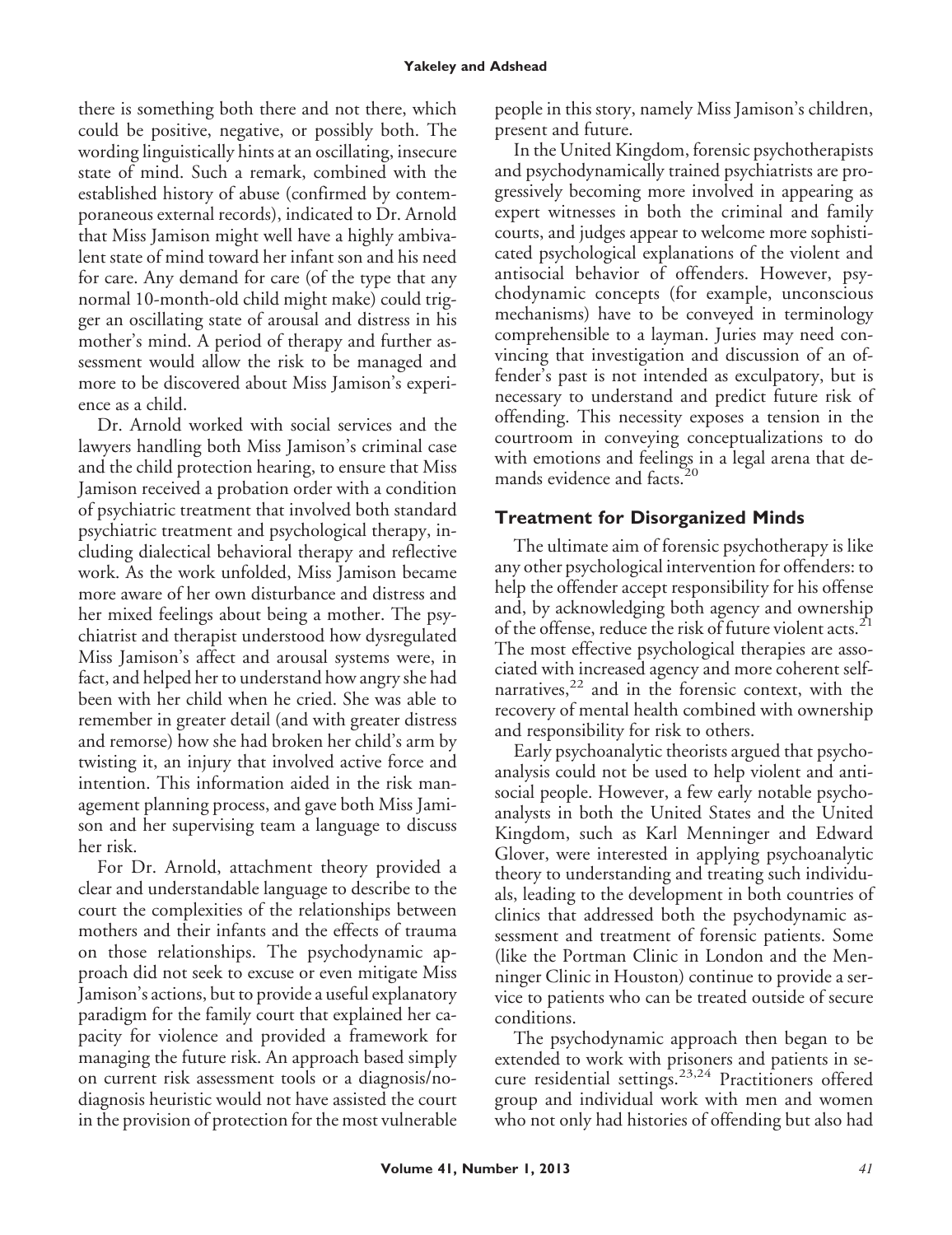there is something both there and not there, which could be positive, negative, or possibly both. The wording linguistically hints at an oscillating, insecure state of mind. Such a remark, combined with the established history of abuse (confirmed by contemporaneous external records), indicated to Dr. Arnold that Miss Jamison might well have a highly ambivalent state of mind toward her infant son and his need for care. Any demand for care (of the type that any normal 10-month-old child might make) could trigger an oscillating state of arousal and distress in his mother's mind. A period of therapy and further assessment would allow the risk to be managed and more to be discovered about Miss Jamison's experience as a child.

Dr. Arnold worked with social services and the lawyers handling both Miss Jamison's criminal case and the child protection hearing, to ensure that Miss Jamison received a probation order with a condition of psychiatric treatment that involved both standard psychiatric treatment and psychological therapy, including dialectical behavioral therapy and reflective work. As the work unfolded, Miss Jamison became more aware of her own disturbance and distress and her mixed feelings about being a mother. The psychiatrist and therapist understood how dysregulated Miss Jamison's affect and arousal systems were, in fact, and helped her to understand how angry she had been with her child when he cried. She was able to remember in greater detail (and with greater distress and remorse) how she had broken her child's arm by twisting it, an injury that involved active force and intention. This information aided in the risk management planning process, and gave both Miss Jamison and her supervising team a language to discuss her risk.

For Dr. Arnold, attachment theory provided a clear and understandable language to describe to the court the complexities of the relationships between mothers and their infants and the effects of trauma on those relationships. The psychodynamic approach did not seek to excuse or even mitigate Miss Jamison's actions, but to provide a useful explanatory paradigm for the family court that explained her capacity for violence and provided a framework for managing the future risk. An approach based simply on current risk assessment tools or a diagnosis/nodiagnosis heuristic would not have assisted the court in the provision of protection for the most vulnerable people in this story, namely Miss Jamison's children, present and future.

In the United Kingdom, forensic psychotherapists and psychodynamically trained psychiatrists are progressively becoming more involved in appearing as expert witnesses in both the criminal and family courts, and judges appear to welcome more sophisticated psychological explanations of the violent and antisocial behavior of offenders. However, psychodynamic concepts (for example, unconscious mechanisms) have to be conveyed in terminology comprehensible to a layman. Juries may need convincing that investigation and discussion of an offender's past is not intended as exculpatory, but is necessary to understand and predict future risk of offending. This necessity exposes a tension in the courtroom in conveying conceptualizations to do with emotions and feelings in a legal arena that demands evidence and facts.<sup>20</sup>

# **Treatment for Disorganized Minds**

The ultimate aim of forensic psychotherapy is like any other psychological intervention for offenders: to help the offender accept responsibility for his offense and, by acknowledging both agency and ownership of the offense, reduce the risk of future violent acts.<sup>21</sup> The most effective psychological therapies are associated with increased agency and more coherent selfnarratives, $22$  and in the forensic context, with the recovery of mental health combined with ownership and responsibility for risk to others.

Early psychoanalytic theorists argued that psychoanalysis could not be used to help violent and antisocial people. However, a few early notable psychoanalysts in both the United States and the United Kingdom, such as Karl Menninger and Edward Glover, were interested in applying psychoanalytic theory to understanding and treating such individuals, leading to the development in both countries of clinics that addressed both the psychodynamic assessment and treatment of forensic patients. Some (like the Portman Clinic in London and the Menninger Clinic in Houston) continue to provide a service to patients who can be treated outside of secure conditions.

The psychodynamic approach then began to be extended to work with prisoners and patients in secure residential settings.23,24 Practitioners offered group and individual work with men and women who not only had histories of offending but also had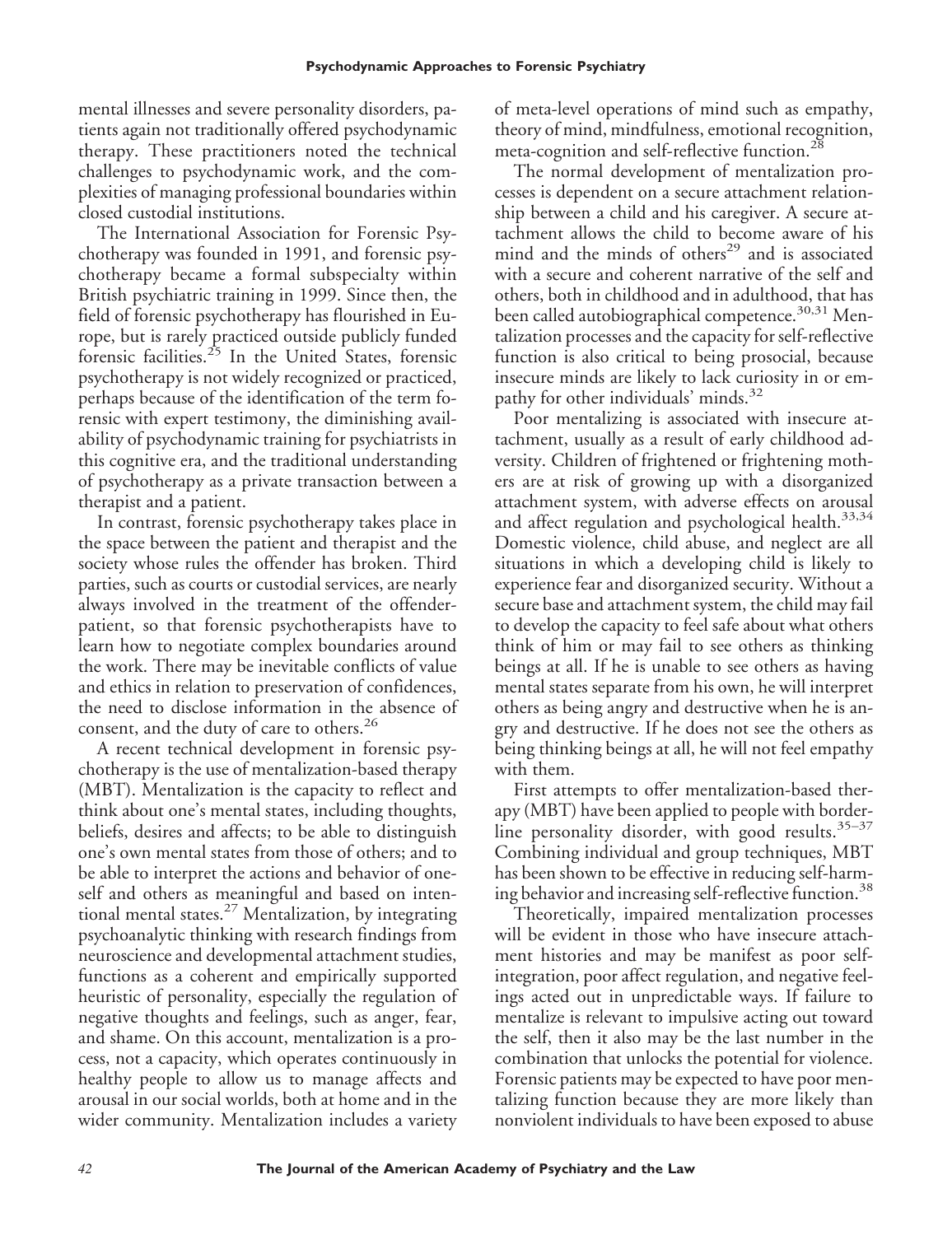mental illnesses and severe personality disorders, patients again not traditionally offered psychodynamic therapy. These practitioners noted the technical challenges to psychodynamic work, and the complexities of managing professional boundaries within closed custodial institutions.

The International Association for Forensic Psychotherapy was founded in 1991, and forensic psychotherapy became a formal subspecialty within British psychiatric training in 1999. Since then, the field of forensic psychotherapy has flourished in Europe, but is rarely practiced outside publicly funded forensic facilities.<sup>25</sup> In the United States, forensic psychotherapy is not widely recognized or practiced, perhaps because of the identification of the term forensic with expert testimony, the diminishing availability of psychodynamic training for psychiatrists in this cognitive era, and the traditional understanding of psychotherapy as a private transaction between a therapist and a patient.

In contrast, forensic psychotherapy takes place in the space between the patient and therapist and the society whose rules the offender has broken. Third parties, such as courts or custodial services, are nearly always involved in the treatment of the offenderpatient, so that forensic psychotherapists have to learn how to negotiate complex boundaries around the work. There may be inevitable conflicts of value and ethics in relation to preservation of confidences, the need to disclose information in the absence of consent, and the duty of care to others.<sup>26</sup>

A recent technical development in forensic psychotherapy is the use of mentalization-based therapy (MBT). Mentalization is the capacity to reflect and think about one's mental states, including thoughts, beliefs, desires and affects; to be able to distinguish one's own mental states from those of others; and to be able to interpret the actions and behavior of oneself and others as meaningful and based on intentional mental states.<sup>27</sup> Mentalization, by integrating psychoanalytic thinking with research findings from neuroscience and developmental attachment studies, functions as a coherent and empirically supported heuristic of personality, especially the regulation of negative thoughts and feelings, such as anger, fear, and shame. On this account, mentalization is a process, not a capacity, which operates continuously in healthy people to allow us to manage affects and arousal in our social worlds, both at home and in the wider community. Mentalization includes a variety

of meta-level operations of mind such as empathy, theory of mind, mindfulness, emotional recognition, meta-cognition and self-reflective function.<sup>28</sup>

The normal development of mentalization processes is dependent on a secure attachment relationship between a child and his caregiver. A secure attachment allows the child to become aware of his mind and the minds of others<sup>29</sup> and is associated with a secure and coherent narrative of the self and others, both in childhood and in adulthood, that has been called autobiographical competence.<sup>30,31</sup> Mentalization processes and the capacity for self-reflective function is also critical to being prosocial, because insecure minds are likely to lack curiosity in or empathy for other individuals' minds.<sup>32</sup>

Poor mentalizing is associated with insecure attachment, usually as a result of early childhood adversity. Children of frightened or frightening mothers are at risk of growing up with a disorganized attachment system, with adverse effects on arousal and affect regulation and psychological health.<sup>33,34</sup> Domestic violence, child abuse, and neglect are all situations in which a developing child is likely to experience fear and disorganized security. Without a secure base and attachment system, the child may fail to develop the capacity to feel safe about what others think of him or may fail to see others as thinking beings at all. If he is unable to see others as having mental states separate from his own, he will interpret others as being angry and destructive when he is angry and destructive. If he does not see the others as being thinking beings at all, he will not feel empathy with them.

First attempts to offer mentalization-based therapy (MBT) have been applied to people with borderline personality disorder, with good results.<sup>35-37</sup> Combining individual and group techniques, MBT has been shown to be effective in reducing self-harming behavior and increasing self-reflective function.<sup>38</sup>

Theoretically, impaired mentalization processes will be evident in those who have insecure attachment histories and may be manifest as poor selfintegration, poor affect regulation, and negative feelings acted out in unpredictable ways. If failure to mentalize is relevant to impulsive acting out toward the self, then it also may be the last number in the combination that unlocks the potential for violence. Forensic patients may be expected to have poor mentalizing function because they are more likely than nonviolent individuals to have been exposed to abuse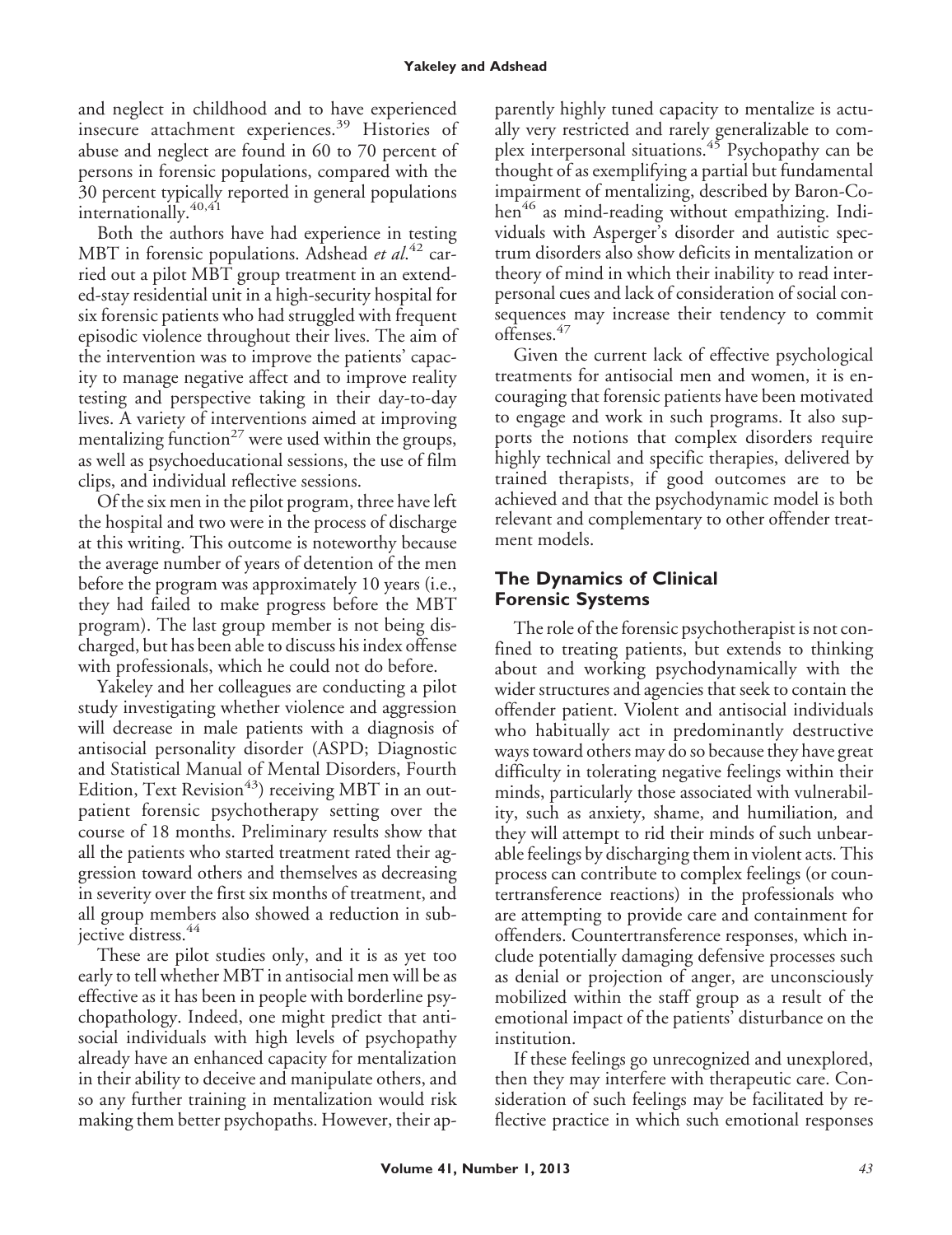#### **Yakeley and Adshead**

and neglect in childhood and to have experienced insecure attachment experiences.<sup>39</sup> Histories of abuse and neglect are found in 60 to 70 percent of persons in forensic populations, compared with the 30 percent typically reported in general populations internationally.<sup>40,41</sup>

Both the authors have had experience in testing MBT in forensic populations. Adshead *et al*. <sup>42</sup> carried out a pilot MBT group treatment in an extended-stay residential unit in a high-security hospital for six forensic patients who had struggled with frequent episodic violence throughout their lives. The aim of the intervention was to improve the patients' capacity to manage negative affect and to improve reality testing and perspective taking in their day-to-day lives. A variety of interventions aimed at improving mentalizing function<sup>27</sup> were used within the groups, as well as psychoeducational sessions, the use of film clips, and individual reflective sessions.

Of the six men in the pilot program, three have left the hospital and two were in the process of discharge at this writing. This outcome is noteworthy because the average number of years of detention of the men before the program was approximately 10 years (i.e., they had failed to make progress before the MBT program). The last group member is not being discharged, but has been able to discuss his index offense with professionals, which he could not do before.

Yakeley and her colleagues are conducting a pilot study investigating whether violence and aggression will decrease in male patients with a diagnosis of antisocial personality disorder (ASPD; Diagnostic and Statistical Manual of Mental Disorders, Fourth Edition, Text Revision<sup>43</sup>) receiving MBT in an outpatient forensic psychotherapy setting over the course of 18 months. Preliminary results show that all the patients who started treatment rated their aggression toward others and themselves as decreasing in severity over the first six months of treatment, and all group members also showed a reduction in subjective distress.<sup>44</sup>

These are pilot studies only, and it is as yet too early to tell whether MBT in antisocial men will be as effective as it has been in people with borderline psychopathology. Indeed, one might predict that antisocial individuals with high levels of psychopathy already have an enhanced capacity for mentalization in their ability to deceive and manipulate others, and so any further training in mentalization would risk making them better psychopaths. However, their apparently highly tuned capacity to mentalize is actually very restricted and rarely generalizable to complex interpersonal situations.<sup>45</sup> Psychopathy can be thought of as exemplifying a partial but fundamental impairment of mentalizing, described by Baron-Cohen<sup>46</sup> as mind-reading without empathizing. Individuals with Asperger's disorder and autistic spectrum disorders also show deficits in mentalization or theory of mind in which their inability to read interpersonal cues and lack of consideration of social consequences may increase their tendency to commit offenses.<sup>47</sup>

Given the current lack of effective psychological treatments for antisocial men and women, it is encouraging that forensic patients have been motivated to engage and work in such programs. It also supports the notions that complex disorders require highly technical and specific therapies, delivered by trained therapists, if good outcomes are to be achieved and that the psychodynamic model is both relevant and complementary to other offender treatment models.

### **The Dynamics of Clinical Forensic Systems**

The role of the forensic psychotherapist is not confined to treating patients, but extends to thinking about and working psychodynamically with the wider structures and agencies that seek to contain the offender patient. Violent and antisocial individuals who habitually act in predominantly destructive ways toward others may do so because they have great difficulty in tolerating negative feelings within their minds, particularly those associated with vulnerability, such as anxiety, shame, and humiliation*,* and they will attempt to rid their minds of such unbearable feelings by discharging them in violent acts. This process can contribute to complex feelings (or countertransference reactions) in the professionals who are attempting to provide care and containment for offenders. Countertransference responses, which include potentially damaging defensive processes such as denial or projection of anger, are unconsciously mobilized within the staff group as a result of the emotional impact of the patients' disturbance on the institution.

If these feelings go unrecognized and unexplored, then they may interfere with therapeutic care. Consideration of such feelings may be facilitated by reflective practice in which such emotional responses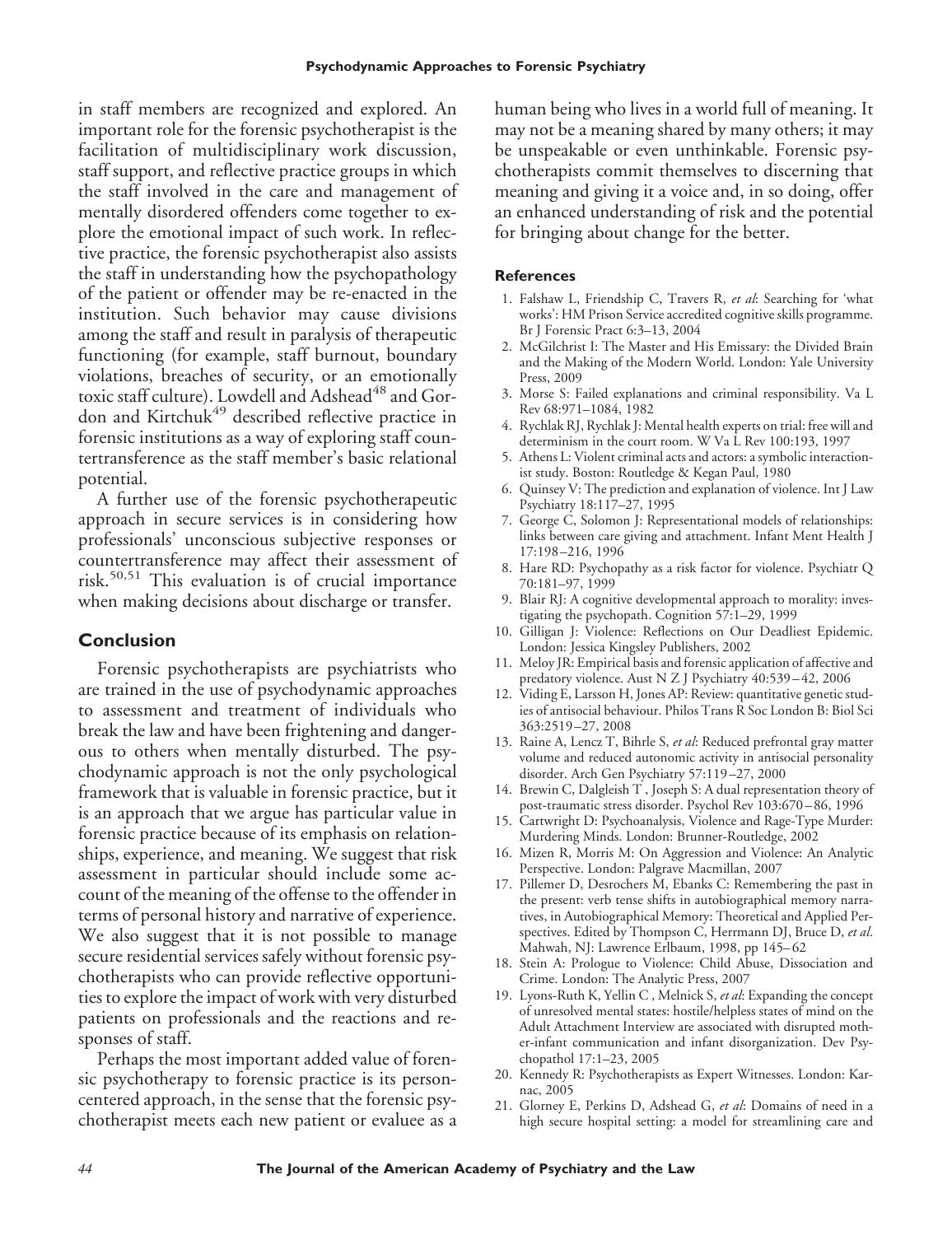in staff members are recognized and explored. An important role for the forensic psychotherapist is the facilitation of multidisciplinary work discussion, staff support, and reflective practice groups in which the staff involved in the care and management of mentally disordered offenders come together to explore the emotional impact of such work. In reflective practice, the forensic psychotherapist also assists the staff in understanding how the psychopathology of the patient or offender may be re-enacted in the institution. Such behavior may cause divisions among the staff and result in paralysis of therapeutic functioning (for example, staff burnout, boundary violations, breaches of security, or an emotionally toxic staff culture). Lowdell and Adshead<sup>48</sup> and Gordon and Kirtchuk<sup>49</sup> described reflective practice in forensic institutions as a way of exploring staff countertransference as the staff member's basic relational potential.

A further use of the forensic psychotherapeutic approach in secure services is in considering how professionals' unconscious subjective responses or countertransference may affect their assessment of risk.50,51 This evaluation is of crucial importance when making decisions about discharge or transfer.

#### **Conclusion**

Forensic psychotherapists are psychiatrists who are trained in the use of psychodynamic approaches to assessment and treatment of individuals who break the law and have been frightening and dangerous to others when mentally disturbed. The psychodynamic approach is not the only psychological framework that is valuable in forensic practice, but it is an approach that we argue has particular value in forensic practice because of its emphasis on relationships, experience, and meaning. We suggest that risk assessment in particular should include some account of the meaning of the offense to the offender in terms of personal history and narrative of experience. We also suggest that it is not possible to manage secure residential services safely without forensic psychotherapists who can provide reflective opportunities to explore the impact of work with very disturbed patients on professionals and the reactions and responses of staff.

Perhaps the most important added value of forensic psychotherapy to forensic practice is its personcentered approach, in the sense that the forensic psychotherapist meets each new patient or evaluee as a human being who lives in a world full of meaning. It may not be a meaning shared by many others; it may be unspeakable or even unthinkable. Forensic psychotherapists commit themselves to discerning that meaning and giving it a voice and, in so doing, offer an enhanced understanding of risk and the potential for bringing about change for the better.

#### **References**

- 1. Falshaw L, Friendship C, Travers R, *et al*: Searching for 'what works': HM Prison Service accredited cognitive skills programme. Br J Forensic Pract 6:3–13, 2004
- 2. McGilchrist I: The Master and His Emissary: the Divided Brain and the Making of the Modern World. London: Yale University Press, 2009
- 3. Morse S: Failed explanations and criminal responsibility. Va L Rev 68:971–1084, 1982
- 4. Rychlak RJ, Rychlak J: Mental health experts on trial: free will and determinism in the court room. W Va L Rev 100:193, 1997
- 5. Athens L: Violent criminal acts and actors: a symbolic interactionist study. Boston: Routledge & Kegan Paul, 1980
- 6. Quinsey V: The prediction and explanation of violence. Int J Law Psychiatry 18:117–27, 1995
- 7. George C, Solomon J: Representational models of relationships: links between care giving and attachment. Infant Ment Health J 17:198 –216, 1996
- 8. Hare RD: Psychopathy as a risk factor for violence. Psychiatr Q 70:181–97, 1999
- 9. Blair RJ: A cognitive developmental approach to morality: investigating the psychopath. Cognition 57:1–29, 1999
- 10. Gilligan J: Violence: Reflections on Our Deadliest Epidemic. London: Jessica Kingsley Publishers, 2002
- 11. Meloy JR: Empirical basis and forensic application of affective and predatory violence. Aust N Z J Psychiatry 40:539-42, 2006
- 12. Viding E, Larsson H, Jones AP: Review: quantitative genetic studies of antisocial behaviour. Philos Trans R Soc London B: Biol Sci 363:2519 –27, 2008
- 13. Raine A, Lencz T, Bihrle S, *et al*: Reduced prefrontal gray matter volume and reduced autonomic activity in antisocial personality disorder. Arch Gen Psychiatry 57:119 –27, 2000
- 14. Brewin C, Dalgleish T , Joseph S: A dual representation theory of post-traumatic stress disorder. Psychol Rev 103:670 – 86, 1996
- 15. Cartwright D: Psychoanalysis, Violence and Rage-Type Murder: Murdering Minds. London: Brunner-Routledge, 2002
- 16. Mizen R, Morris M: On Aggression and Violence: An Analytic Perspective. London: Palgrave Macmillan, 2007
- 17. Pillemer D, Desrochers M, Ebanks C: Remembering the past in the present: verb tense shifts in autobiographical memory narratives, in Autobiographical Memory: Theoretical and Applied Perspectives. Edited by Thompson C, Herrmann DJ, Bruce D, *et al*. Mahwah, NJ: Lawrence Erlbaum, 1998, pp 145-62
- 18. Stein A: Prologue to Violence: Child Abuse, Dissociation and Crime. London: The Analytic Press, 2007
- 19. Lyons-Ruth K, Yellin C , Melnick S, *et al*: Expanding the concept of unresolved mental states: hostile/helpless states of mind on the Adult Attachment Interview are associated with disrupted mother-infant communication and infant disorganization. Dev Psychopathol 17:1–23, 2005
- 20. Kennedy R: Psychotherapists as Expert Witnesses. London: Karnac, 2005
- 21. Glorney E, Perkins D, Adshead G, *et al*: Domains of need in a high secure hospital setting: a model for streamlining care and